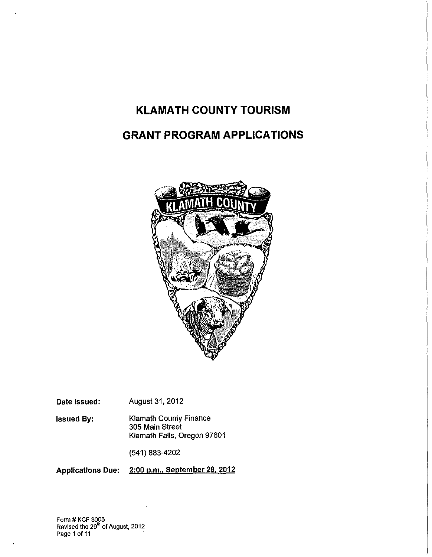# **KLAMATH COUNTY TOURISM**

# **GRANT PROGRAM APPLICATIONS**



Date Issued: August 31, 2012

Issued By: Klamath County Finance 305 Main Street Klamath Falls, Oregon 97601

(541) 883-4202

Applications Due: 2:00 p.m., September 28, 2012

Form # KCF 3005 Revised the 29'" of August, 2012 Page 1 of 11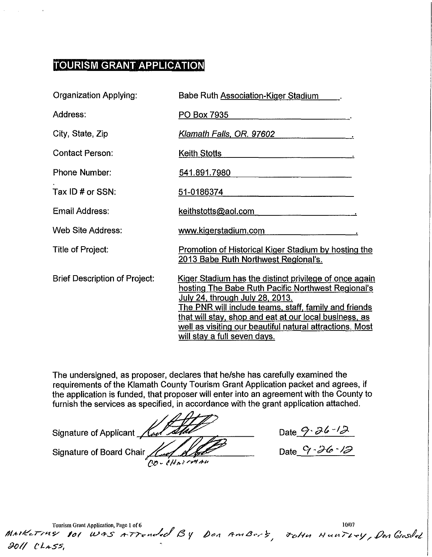# **TOURISM GRANT APPLICATION**

| <b>Organization Applying:</b>        | Babe Ruth Association-Kiger Stadium                                                                                                                                                                                                                                                                                                                                                 |  |  |
|--------------------------------------|-------------------------------------------------------------------------------------------------------------------------------------------------------------------------------------------------------------------------------------------------------------------------------------------------------------------------------------------------------------------------------------|--|--|
| Address:                             | PO Box 7935                                                                                                                                                                                                                                                                                                                                                                         |  |  |
| City, State, Zip                     | Klamath Falls, OR. 97602                                                                                                                                                                                                                                                                                                                                                            |  |  |
| <b>Contact Person:</b>               | <b>Keith Stotts</b>                                                                                                                                                                                                                                                                                                                                                                 |  |  |
| <b>Phone Number:</b>                 | 541.891.7980                                                                                                                                                                                                                                                                                                                                                                        |  |  |
| Tax ID # or SSN:                     | 51-0186374                                                                                                                                                                                                                                                                                                                                                                          |  |  |
| Email Address:                       | keithstotts@aol.com                                                                                                                                                                                                                                                                                                                                                                 |  |  |
| Web Site Address:                    | www.kigerstadium.com                                                                                                                                                                                                                                                                                                                                                                |  |  |
| Title of Project:                    | <b>Promotion of Historical Kiger Stadium by hosting the</b><br>2013 Babe Ruth Northwest Regional's.                                                                                                                                                                                                                                                                                 |  |  |
| <b>Brief Description of Project:</b> | Kiger Stadium has the distinct privilege of once again<br>hosting The Babe Ruth Pacific Northwest Regional's<br><u>July 24, through July 28, 2013.</u><br><u>The PNR will include teams, staff, family and friends</u><br>that will stay, shop and eat at our local business, as<br>well as visiting our beautiful natural attractions. Most<br><u>will stay a full seven days.</u> |  |  |

The undersigned, as proposer, declares that he/she has carefully examined the requirements of the Klamath County Tourism Grant Application packet and agrees, if the application is funded, that proposer will enter into an agreement with the County to furnish the services as specified, in accordance with the grant application attached.

Signature of Applicant Keel Stall Communication Date 9. 36-12 Signature of Board Chair *Kind Alle* OO - CHAISMAN

Date 9 · 26 · 12

Tourism Grant Application, Page 1 of 6<br>**MAIKETTUS 101 WAS ATTENded** By Don AmBers, JoHn HunTLey, Den Gresdel *.9oll* c· L~s:J,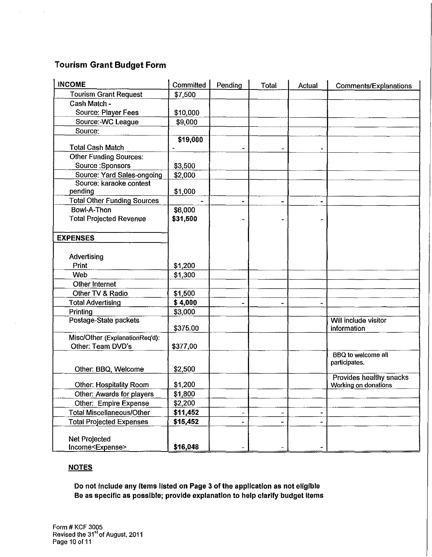# **Tourism Grant Budget Form**

 $\hat{\mathbf{r}}$ 

| <b>INCOME</b>                      | Committed | Pending | Total                    | Actual | <b>Comments/Explanations</b> |
|------------------------------------|-----------|---------|--------------------------|--------|------------------------------|
| <b>Tourism Grant Request</b>       | \$7,500   |         |                          |        |                              |
| Cash Match -                       |           |         |                          |        |                              |
| Source: Player Fees                | \$10,000  |         |                          |        |                              |
| Source:-WC League                  | \$9,000   |         |                          |        |                              |
| Source:                            |           |         |                          |        |                              |
| <b>Total Cash Match</b>            | \$19,000  |         |                          |        |                              |
| <b>Other Funding Sources:</b>      |           |         |                          |        |                              |
| Source: Sponsors                   | \$3,500   |         |                          |        |                              |
| Source: Yard Sales-ongoing         | \$2,000   |         |                          |        |                              |
| Source: karaoke contest            |           |         |                          |        |                              |
| pending                            | \$1,000   |         |                          |        |                              |
| <b>Total Other Funding Sources</b> |           | ۰       | $\overline{\phantom{a}}$ |        |                              |
| Bowl-A-Thon                        | \$6,000   |         |                          |        |                              |
| <b>Total Projected Revenue</b>     | \$31,500  |         |                          |        |                              |
|                                    |           |         |                          |        |                              |
| <b>EXPENSES</b>                    |           |         |                          |        |                              |
|                                    |           |         |                          |        |                              |
| Advertising                        |           |         |                          |        |                              |
| Print                              | \$1,200   |         |                          |        |                              |
| Web                                | \$1,300   |         |                          |        |                              |
| Other Internet                     |           |         |                          |        |                              |
| Other TV & Radio                   | \$1,500   |         |                          |        |                              |
| <b>Total Advertising</b>           | \$4,000   |         |                          |        |                              |
| Printing                           | \$3,000   |         |                          |        |                              |
| Postage-State packets              |           |         |                          |        | Will include visitor         |
|                                    | \$375.00  |         |                          |        | information                  |
| Misc/Other (ExplanationReq'd):     |           |         |                          |        |                              |
| Other: Team DVD's                  | \$377,00  |         |                          |        |                              |
|                                    |           |         |                          |        | <b>BBQ</b> to welcome all    |
| Other: BBQ, Welcome                | \$2,500   |         |                          |        | participates.                |
|                                    |           |         |                          |        | Provides healthy snacks      |
| Other: Hospitality Room            | \$1,200   |         |                          |        | Working on donations         |
| Other: Awards for players          | \$1,800   |         |                          |        |                              |
| Other: Empire Expense              | \$2,200   |         |                          |        |                              |
| <b>Total Miscellaneous/Other</b>   | \$11,452  |         |                          |        |                              |
| <b>Total Projected Expenses</b>    | \$15,452  |         |                          |        |                              |
|                                    |           |         |                          |        |                              |
| Net Projected                      |           |         |                          |        |                              |
| Income <expense></expense>         | \$16,048  |         |                          |        |                              |

#### **NOTES**

**Do not include any items listed on Page 3 of the application as not eligible Be as specific as possible; provide explanation to help clarify budget items**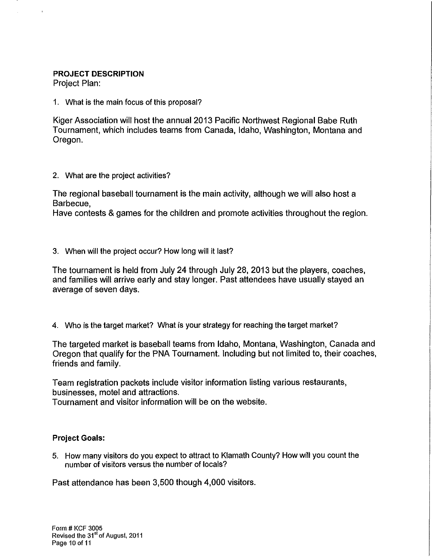## PROJECT DESCRIPTION

Project Plan:

1. What is the main focus of this proposal?

Kiger Association will host the annual 2013 Pacific Northwest Regional Babe Ruth Tournament, which includes teams from Canada, Idaho, Washington, Montana and Oregon.

2. What are the project activities?

The regional baseball tournament is the main activity, although we will also host a Barbecue,

Have contests & games for the children and promote activities throughout the region.

### 3. When will the project occur? How long will it last?

The tournament is held from July 24 through July 28, 2013 but the players, coaches, and families will arrive early and stay longer. Past attendees have usually stayed an average of seven days.

4. Who is the target market? What is your strategy for reaching the target market?

The targeted market is baseball teams from Idaho, Montana, Washington, Canada and Oregon that qualify for the PNA Tournament. Including but not limited to, their coaches, friends and family.

Team registration packets include visitor information listing various restaurants, businesses, motel and attractions.

Tournament and visitor information will be on the website.

### Project Goals:

5. How many visitors do you expect to attract to Klamath County? How will you count the number of visitors versus the number of locals?

Past attendance has been 3,500 though 4,000 visitors.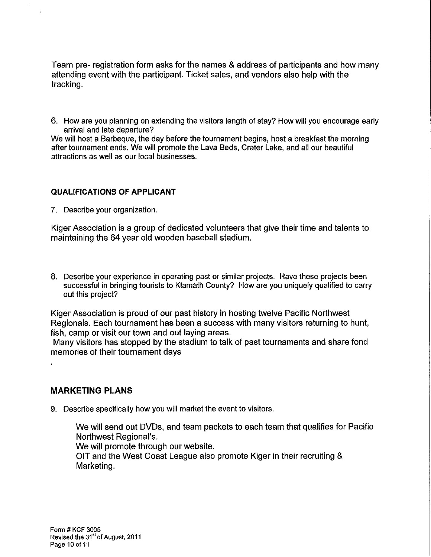Team pre- registration form asks for the names & address of participants and how many attending event with the participant. Ticket sales, and vendors also help with the tracking.

6. How are you planning on extending the visitors length of stay? How will you encourage early arrival and late departure?

We will host a Barbeque, the day before the tournament begins, host a breakfast the morning after tournament ends. We will promote the Lava Beds, Crater Lake, and all our beautiful attractions as well as our local businesses.

### **QUALIFICATIONS OF APPLICANT**

7. Describe your organization.

Kiger Association is a group of dedicated volunteers that give their time and talents to maintaining the 64 year old wooden baseball stadium.

8. Describe your experience in operating past or similar projects. Have these projects been successful in bringing tourists to Klamath County? How are you uniquely qualified to carry out this project?

Kiger Association is proud of our past history in hosting twelve Pacific Northwest Regionals. Each tournament has been a success with many visitors returning to hunt, fish, camp or visit our town and out laying areas.

Many visitors has stopped by the stadium to talk of past tournaments and share fond memories of their tournament days

### **MARKETING PLANS**

9. Describe specifically how you will market the event to visitors.

We will send out DVDs, and team packets to each team that qualifies for Pacific Northwest Regional's.

We will promote through our website.

OIT and the West Coast League also promote Kiger in their recruiting & Marketing.